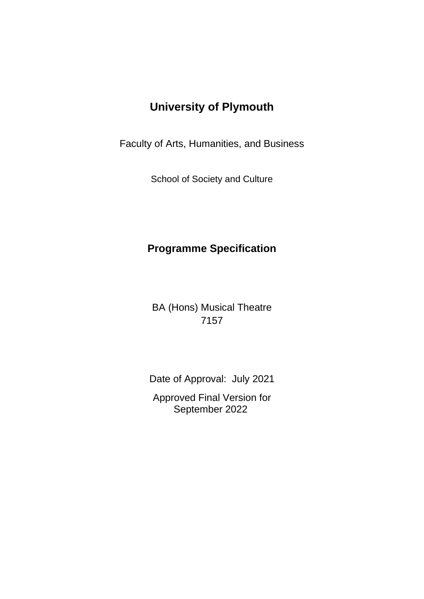# **University of Plymouth**

Faculty of Arts, Humanities, and Business

School of Society and Culture

# **Programme Specification**

BA (Hons) Musical Theatre 7157

Date of Approval: July 2021

Approved Final Version for September 2022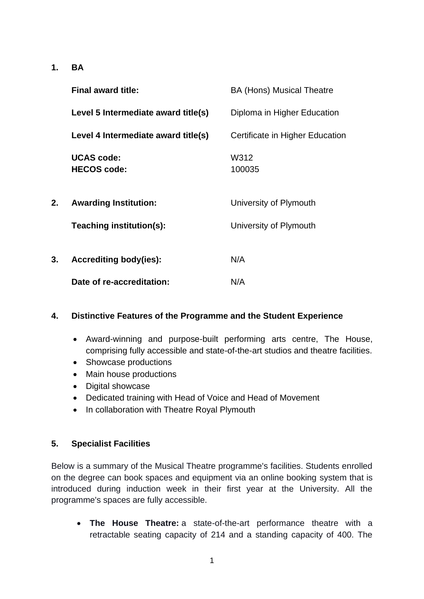**1. BA**

|    | <b>Final award title:</b>               | <b>BA (Hons) Musical Theatre</b> |
|----|-----------------------------------------|----------------------------------|
|    | Level 5 Intermediate award title(s)     | Diploma in Higher Education      |
|    | Level 4 Intermediate award title(s)     | Certificate in Higher Education  |
|    | <b>UCAS code:</b><br><b>HECOS code:</b> | W312<br>100035                   |
| 2. | <b>Awarding Institution:</b>            | University of Plymouth           |
|    | Teaching institution(s):                | University of Plymouth           |
| 3. | <b>Accrediting body(ies):</b>           | N/A                              |
|    | Date of re-accreditation:               | N/A                              |

#### **4. Distinctive Features of the Programme and the Student Experience**

- Award-winning and purpose-built performing arts centre, The House, comprising fully accessible and state-of-the-art studios and theatre facilities.
- Showcase productions
- Main house productions
- Digital showcase
- Dedicated training with Head of Voice and Head of Movement
- In collaboration with Theatre Royal Plymouth

#### **5. Specialist Facilities**

Below is a summary of the Musical Theatre programme's facilities. Students enrolled on the degree can book spaces and equipment via an online booking system that is introduced during induction week in their first year at the University. All the programme's spaces are fully accessible.

• **The House Theatre:** a state-of-the-art performance theatre with a retractable seating capacity of 214 and a standing capacity of 400. The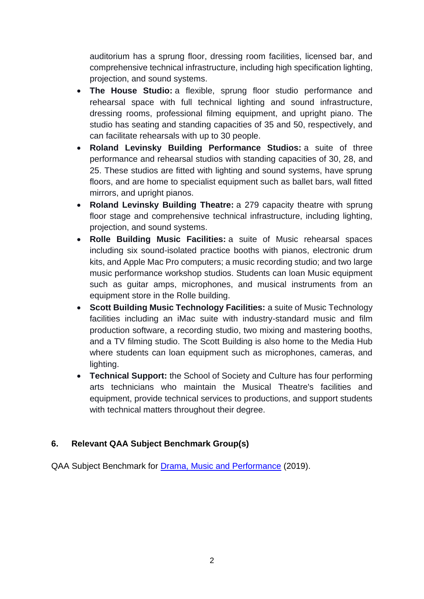auditorium has a sprung floor, dressing room facilities, licensed bar, and comprehensive technical infrastructure, including high specification lighting, projection, and sound systems.

- **The House Studio:** a flexible, sprung floor studio performance and rehearsal space with full technical lighting and sound infrastructure, dressing rooms, professional filming equipment, and upright piano. The studio has seating and standing capacities of 35 and 50, respectively, and can facilitate rehearsals with up to 30 people.
- **Roland Levinsky Building Performance Studios:** a suite of three performance and rehearsal studios with standing capacities of 30, 28, and 25. These studios are fitted with lighting and sound systems, have sprung floors, and are home to specialist equipment such as ballet bars, wall fitted mirrors, and upright pianos.
- **Roland Levinsky Building Theatre:** a 279 capacity theatre with sprung floor stage and comprehensive technical infrastructure, including lighting, projection, and sound systems.
- **Rolle Building Music Facilities:** a suite of Music rehearsal spaces including six sound-isolated practice booths with pianos, electronic drum kits, and Apple Mac Pro computers; a music recording studio; and two large music performance workshop studios. Students can loan Music equipment such as guitar amps, microphones, and musical instruments from an equipment store in the Rolle building.
- **Scott Building Music Technology Facilities:** a suite of Music Technology facilities including an iMac suite with industry-standard music and film production software, a recording studio, two mixing and mastering booths, and a TV filming studio. The Scott Building is also home to the Media Hub where students can loan equipment such as microphones, cameras, and lighting.
- **Technical Support:** the School of Society and Culture has four performing arts technicians who maintain the Musical Theatre's facilities and equipment, provide technical services to productions, and support students with technical matters throughout their degree.

## **6. Relevant QAA Subject Benchmark Group(s)**

QAA Subject Benchmark for **Drama, Music and Performance** (2019).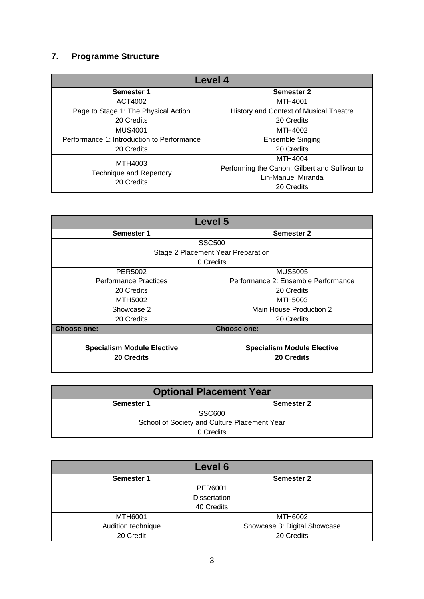## **7. Programme Structure**

| Level 4                                      |                                               |  |  |  |  |  |  |  |  |  |  |  |
|----------------------------------------------|-----------------------------------------------|--|--|--|--|--|--|--|--|--|--|--|
| Semester 1                                   | <b>Semester 2</b>                             |  |  |  |  |  |  |  |  |  |  |  |
| ACT4002                                      | MTH4001                                       |  |  |  |  |  |  |  |  |  |  |  |
| Page to Stage 1: The Physical Action         | History and Context of Musical Theatre        |  |  |  |  |  |  |  |  |  |  |  |
| 20 Credits                                   | 20 Credits                                    |  |  |  |  |  |  |  |  |  |  |  |
| <b>MUS4001</b>                               | MTH4002                                       |  |  |  |  |  |  |  |  |  |  |  |
| Performance 1: Introduction to Performance   | <b>Ensemble Singing</b>                       |  |  |  |  |  |  |  |  |  |  |  |
| 20 Credits                                   | 20 Credits                                    |  |  |  |  |  |  |  |  |  |  |  |
| MTH4003                                      | MTH4004                                       |  |  |  |  |  |  |  |  |  |  |  |
|                                              | Performing the Canon: Gilbert and Sullivan to |  |  |  |  |  |  |  |  |  |  |  |
| <b>Technique and Repertory</b><br>20 Credits | Lin-Manuel Miranda                            |  |  |  |  |  |  |  |  |  |  |  |
|                                              | 20 Credits                                    |  |  |  |  |  |  |  |  |  |  |  |

| Level 5                                                |                                                        |  |  |  |  |  |  |  |  |  |  |
|--------------------------------------------------------|--------------------------------------------------------|--|--|--|--|--|--|--|--|--|--|
| Semester 1                                             | Semester 2                                             |  |  |  |  |  |  |  |  |  |  |
|                                                        | <b>SSC500</b>                                          |  |  |  |  |  |  |  |  |  |  |
|                                                        | Stage 2 Placement Year Preparation                     |  |  |  |  |  |  |  |  |  |  |
|                                                        | 0 Credits                                              |  |  |  |  |  |  |  |  |  |  |
| PER5002                                                | <b>MUS5005</b>                                         |  |  |  |  |  |  |  |  |  |  |
| <b>Performance Practices</b>                           | Performance 2: Ensemble Performance                    |  |  |  |  |  |  |  |  |  |  |
| 20 Credits                                             | 20 Credits                                             |  |  |  |  |  |  |  |  |  |  |
| MTH5002                                                | MTH5003                                                |  |  |  |  |  |  |  |  |  |  |
| Showcase 2                                             | Main House Production 2                                |  |  |  |  |  |  |  |  |  |  |
| 20 Credits                                             | 20 Credits                                             |  |  |  |  |  |  |  |  |  |  |
| <b>Choose one:</b>                                     | <b>Choose one:</b>                                     |  |  |  |  |  |  |  |  |  |  |
| <b>Specialism Module Elective</b><br><b>20 Credits</b> | <b>Specialism Module Elective</b><br><b>20 Credits</b> |  |  |  |  |  |  |  |  |  |  |

| <b>Optional Placement Year</b>               |  |  |  |  |  |  |  |  |  |  |  |
|----------------------------------------------|--|--|--|--|--|--|--|--|--|--|--|
| Semester 2<br><b>Semester 1</b>              |  |  |  |  |  |  |  |  |  |  |  |
| SSC600                                       |  |  |  |  |  |  |  |  |  |  |  |
| School of Society and Culture Placement Year |  |  |  |  |  |  |  |  |  |  |  |
| 0 Credits                                    |  |  |  |  |  |  |  |  |  |  |  |

| Level 6            |                              |  |  |  |  |  |  |  |  |  |  |  |
|--------------------|------------------------------|--|--|--|--|--|--|--|--|--|--|--|
| Semester 1         | <b>Semester 2</b>            |  |  |  |  |  |  |  |  |  |  |  |
|                    | PER6001                      |  |  |  |  |  |  |  |  |  |  |  |
|                    | <b>Dissertation</b>          |  |  |  |  |  |  |  |  |  |  |  |
|                    | 40 Credits                   |  |  |  |  |  |  |  |  |  |  |  |
| <b>MTH6001</b>     | MTH6002                      |  |  |  |  |  |  |  |  |  |  |  |
| Audition technique | Showcase 3: Digital Showcase |  |  |  |  |  |  |  |  |  |  |  |
| 20 Credit          | 20 Credits                   |  |  |  |  |  |  |  |  |  |  |  |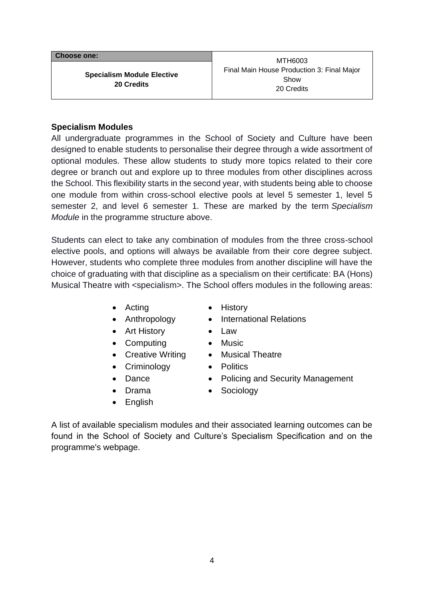| <b>Choose one:</b>                              | MTH6003                                                          |
|-------------------------------------------------|------------------------------------------------------------------|
| <b>Specialism Module Elective</b><br>20 Credits | Final Main House Production 3: Final Major<br>Show<br>20 Credits |

#### **Specialism Modules**

All undergraduate programmes in the School of Society and Culture have been designed to enable students to personalise their degree through a wide assortment of optional modules. These allow students to study more topics related to their core degree or branch out and explore up to three modules from other disciplines across the School. This flexibility starts in the second year, with students being able to choose one module from within cross-school elective pools at level 5 semester 1, level 5 semester 2, and level 6 semester 1. These are marked by the term *Specialism Module* in the programme structure above.

Students can elect to take any combination of modules from the three cross-school elective pools, and options will always be available from their core degree subject. However, students who complete three modules from another discipline will have the choice of graduating with that discipline as a specialism on their certificate: BA (Hons) Musical Theatre with <specialism>. The School offers modules in the following areas:

- Acting History
- 
- Art History Law
- Computing Music
- Creative Writing Musical Theatre
- Criminology Politics
- 
- 
- English
- 
- Anthropology International Relations
	-
	-
	-
	-
- Dance Policing and Security Management
- Drama Sociology

A list of available specialism modules and their associated learning outcomes can be found in the School of Society and Culture's Specialism Specification and on the programme's webpage.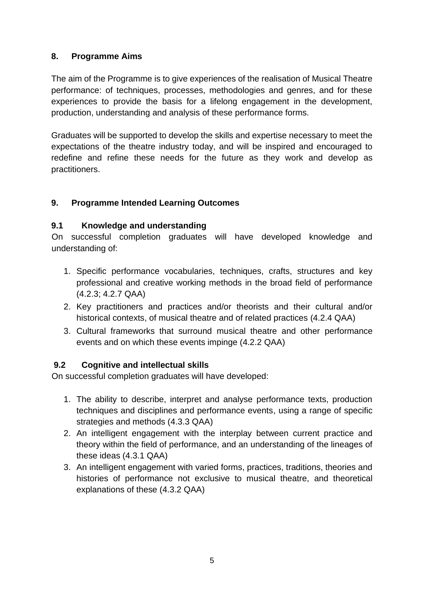## **8. Programme Aims**

The aim of the Programme is to give experiences of the realisation of Musical Theatre performance: of techniques, processes, methodologies and genres, and for these experiences to provide the basis for a lifelong engagement in the development, production, understanding and analysis of these performance forms.

Graduates will be supported to develop the skills and expertise necessary to meet the expectations of the theatre industry today, and will be inspired and encouraged to redefine and refine these needs for the future as they work and develop as practitioners.

## **9. Programme Intended Learning Outcomes**

#### **9.1 Knowledge and understanding**

On successful completion graduates will have developed knowledge and understanding of:

- 1. Specific performance vocabularies, techniques, crafts, structures and key professional and creative working methods in the broad field of performance (4.2.3; 4.2.7 QAA)
- 2. Key practitioners and practices and/or theorists and their cultural and/or historical contexts, of musical theatre and of related practices (4.2.4 QAA)
- 3. Cultural frameworks that surround musical theatre and other performance events and on which these events impinge (4.2.2 QAA)

## **9.2 Cognitive and intellectual skills**

On successful completion graduates will have developed:

- 1. The ability to describe, interpret and analyse performance texts, production techniques and disciplines and performance events, using a range of specific strategies and methods (4.3.3 QAA)
- 2. An intelligent engagement with the interplay between current practice and theory within the field of performance, and an understanding of the lineages of these ideas (4.3.1 QAA)
- 3. An intelligent engagement with varied forms, practices, traditions, theories and histories of performance not exclusive to musical theatre, and theoretical explanations of these (4.3.2 QAA)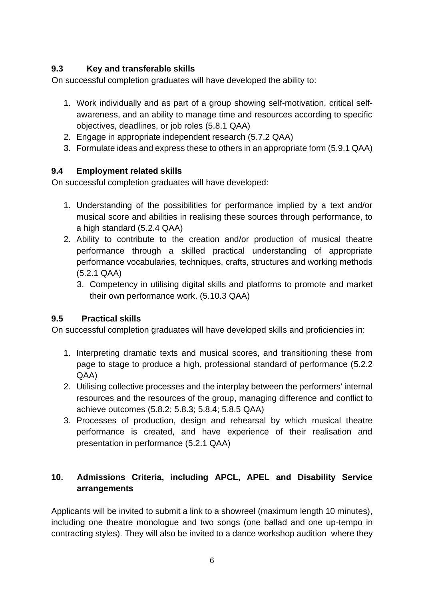## **9.3 Key and transferable skills**

On successful completion graduates will have developed the ability to:

- 1. Work individually and as part of a group showing self-motivation, critical selfawareness, and an ability to manage time and resources according to specific objectives, deadlines, or job roles (5.8.1 QAA)
- 2. Engage in appropriate independent research (5.7.2 QAA)
- 3. Formulate ideas and express these to others in an appropriate form (5.9.1 QAA)

## **9.4 Employment related skills**

On successful completion graduates will have developed:

- 1. Understanding of the possibilities for performance implied by a text and/or musical score and abilities in realising these sources through performance, to a high standard (5.2.4 QAA)
- 2. Ability to contribute to the creation and/or production of musical theatre performance through a skilled practical understanding of appropriate performance vocabularies, techniques, crafts, structures and working methods (5.2.1 QAA)
	- 3. Competency in utilising digital skills and platforms to promote and market their own performance work. (5.10.3 QAA)

#### **9.5 Practical skills**

On successful completion graduates will have developed skills and proficiencies in:

- 1. Interpreting dramatic texts and musical scores, and transitioning these from page to stage to produce a high, professional standard of performance (5.2.2 QAA)
- 2. Utilising collective processes and the interplay between the performers' internal resources and the resources of the group, managing difference and conflict to achieve outcomes (5.8.2; 5.8.3; 5.8.4; 5.8.5 QAA)
- 3. Processes of production, design and rehearsal by which musical theatre performance is created, and have experience of their realisation and presentation in performance (5.2.1 QAA)

## **10. Admissions Criteria, including APCL, APEL and Disability Service arrangements**

Applicants will be invited to submit a link to a showreel (maximum length 10 minutes), including one theatre monologue and two songs (one ballad and one up-tempo in contracting styles). They will also be invited to a dance workshop audition where they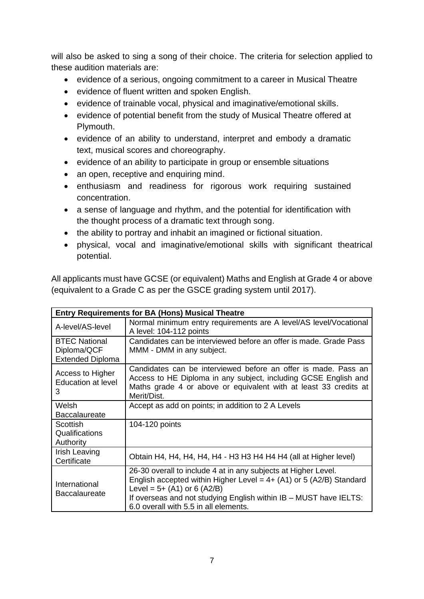will also be asked to sing a song of their choice. The criteria for selection applied to these audition materials are:

- evidence of a serious, ongoing commitment to a career in Musical Theatre
- evidence of fluent written and spoken English.
- evidence of trainable vocal, physical and imaginative/emotional skills.
- evidence of potential benefit from the study of Musical Theatre offered at Plymouth.
- evidence of an ability to understand, interpret and embody a dramatic text, musical scores and choreography.
- evidence of an ability to participate in group or ensemble situations
- an open, receptive and enquiring mind.
- enthusiasm and readiness for rigorous work requiring sustained concentration.
- a sense of language and rhythm, and the potential for identification with the thought process of a dramatic text through song.
- the ability to portray and inhabit an imagined or fictional situation.
- physical, vocal and imaginative/emotional skills with significant theatrical potential.

All applicants must have GCSE (or equivalent) Maths and English at Grade 4 or above (equivalent to a Grade C as per the GSCE grading system until 2017).

|                                                                | <b>Entry Requirements for BA (Hons) Musical Theatre</b>                                                                                                                                                                                                                                |  |  |  |  |  |  |  |  |  |
|----------------------------------------------------------------|----------------------------------------------------------------------------------------------------------------------------------------------------------------------------------------------------------------------------------------------------------------------------------------|--|--|--|--|--|--|--|--|--|
| A-level/AS-level                                               | Normal minimum entry requirements are A level/AS level/Vocational<br>A level: 104-112 points                                                                                                                                                                                           |  |  |  |  |  |  |  |  |  |
| <b>BTEC National</b><br>Diploma/QCF<br><b>Extended Diploma</b> | Candidates can be interviewed before an offer is made. Grade Pass<br>MMM - DMM in any subject.                                                                                                                                                                                         |  |  |  |  |  |  |  |  |  |
| Access to Higher<br><b>Education at level</b><br>3             | Candidates can be interviewed before an offer is made. Pass an<br>Access to HE Diploma in any subject, including GCSE English and<br>Maths grade 4 or above or equivalent with at least 33 credits at<br>Merit/Dist.                                                                   |  |  |  |  |  |  |  |  |  |
| Welsh<br><b>Baccalaureate</b>                                  | Accept as add on points; in addition to 2 A Levels                                                                                                                                                                                                                                     |  |  |  |  |  |  |  |  |  |
| Scottish<br>Qualifications<br>Authority                        | 104-120 points                                                                                                                                                                                                                                                                         |  |  |  |  |  |  |  |  |  |
| Irish Leaving<br>Certificate                                   | Obtain H4, H4, H4, H4, H4 - H3 H3 H4 H4 H4 (all at Higher level)                                                                                                                                                                                                                       |  |  |  |  |  |  |  |  |  |
| International<br><b>Baccalaureate</b>                          | 26-30 overall to include 4 at in any subjects at Higher Level.<br>English accepted within Higher Level = $4+$ (A1) or 5 (A2/B) Standard<br>Level = $5+ (A1)$ or 6 (A2/B)<br>If overseas and not studying English within IB - MUST have IELTS:<br>6.0 overall with 5.5 in all elements. |  |  |  |  |  |  |  |  |  |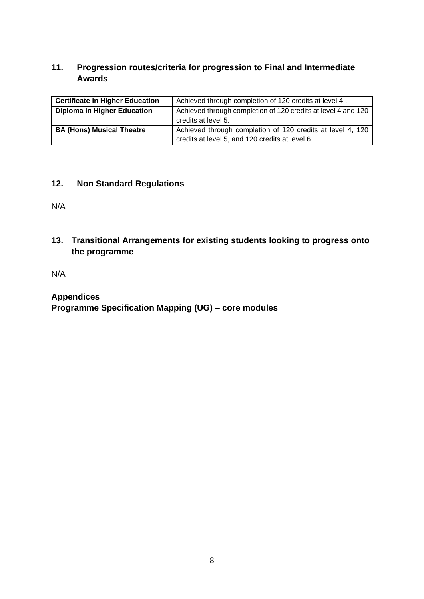## **11. Progression routes/criteria for progression to Final and Intermediate Awards**

| <b>Certificate in Higher Education</b> | Achieved through completion of 120 credits at level 4.        |  |  |  |  |  |  |  |
|----------------------------------------|---------------------------------------------------------------|--|--|--|--|--|--|--|
| <b>Diploma in Higher Education</b>     | Achieved through completion of 120 credits at level 4 and 120 |  |  |  |  |  |  |  |
|                                        | credits at level 5.                                           |  |  |  |  |  |  |  |
| <b>BA (Hons) Musical Theatre</b>       | Achieved through completion of 120 credits at level 4, 120    |  |  |  |  |  |  |  |
|                                        | credits at level 5, and 120 credits at level 6.               |  |  |  |  |  |  |  |

#### **12. Non Standard Regulations**

N/A

**13. Transitional Arrangements for existing students looking to progress onto the programme**

N/A

## **Appendices**

**Programme Specification Mapping (UG) – core modules**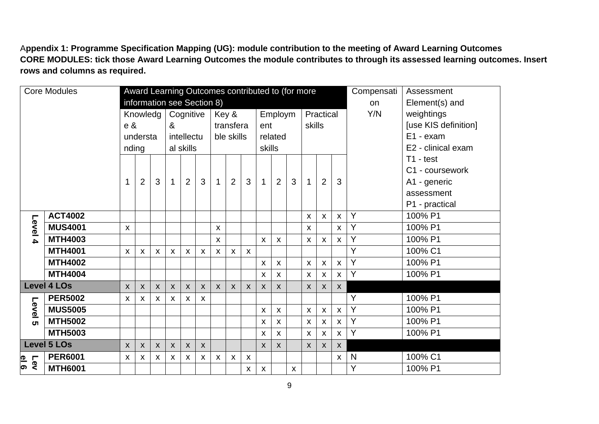A**ppendix 1: Programme Specification Mapping (UG): module contribution to the meeting of Award Learning Outcomes CORE MODULES: tick those Award Learning Outcomes the module contributes to through its assessed learning outcomes. Insert rows and columns as required.**

| Award Learning Outcomes contributed to (for more<br><b>Core Modules</b> |          |                    |                           |                    |                           |                           |                           |                           |              | Compensati                | Assessment |                    |                           |                |                           |                           |                  |   |                      |
|-------------------------------------------------------------------------|----------|--------------------|---------------------------|--------------------|---------------------------|---------------------------|---------------------------|---------------------------|--------------|---------------------------|------------|--------------------|---------------------------|----------------|---------------------------|---------------------------|------------------|---|----------------------|
| information see Section 8)                                              |          |                    |                           |                    |                           |                           |                           |                           |              |                           |            |                    | on                        | Element(s) and |                           |                           |                  |   |                      |
|                                                                         |          |                    | Knowledg                  | Cognitive          |                           |                           | Key &                     |                           | Employm      |                           |            | Practical          |                           |                | Y/N                       | weightings                |                  |   |                      |
|                                                                         |          |                    |                           | e &                |                           | &                         |                           |                           |              | transfera                 |            |                    | ent                       |                |                           | skills                    |                  |   | [use KIS definition] |
|                                                                         |          |                    |                           | understa           |                           |                           | intellectu                |                           |              | ble skills                |            |                    | related                   |                |                           |                           |                  |   | E1 - exam            |
|                                                                         |          |                    | nding                     |                    |                           | al skills                 |                           |                           |              |                           |            |                    | skills                    |                |                           |                           |                  |   | E2 - clinical exam   |
|                                                                         |          |                    |                           |                    |                           |                           |                           |                           |              |                           |            |                    |                           |                |                           |                           |                  |   | $T1 - test$          |
|                                                                         |          |                    |                           |                    |                           |                           |                           |                           |              |                           |            |                    |                           |                |                           |                           |                  |   | C1 - coursework      |
|                                                                         |          |                    | 1                         | $\overline{2}$     | 3                         | $\mathbf 1$               | $\overline{2}$            | 3                         | $\mathbf{1}$ | 2                         | 3          | $\mathbf{1}$       | $\overline{2}$            | 3              | $\mathbf{1}$              | $\overline{2}$            | 3                |   | A1 - generic         |
|                                                                         |          |                    |                           |                    |                           |                           |                           |                           |              |                           |            |                    |                           |                |                           |                           |                  |   | assessment           |
|                                                                         |          |                    |                           |                    |                           |                           |                           |                           |              |                           |            |                    |                           |                |                           |                           |                  |   | P1 - practical       |
|                                                                         |          | <b>ACT4002</b>     |                           |                    |                           |                           |                           |                           |              |                           |            |                    |                           |                | $\boldsymbol{\mathsf{X}}$ | $\mathsf{X}$              | $\mathsf{x}$     | Y | 100% P1              |
|                                                                         | Level 4  | <b>MUS4001</b>     | $\mathsf{x}$              |                    |                           |                           |                           |                           | $\mathsf{X}$ |                           |            |                    |                           |                | $\mathsf{x}$              |                           | $\mathsf{X}$     | Y | 100% P1              |
|                                                                         |          | <b>MTH4003</b>     |                           |                    |                           |                           |                           |                           | $\mathsf{X}$ |                           |            | $\mathsf{X}$       | $\boldsymbol{\mathsf{X}}$ |                | X                         | $\mathsf{X}$              | $\mathsf{X}$     | Y | 100% P1              |
|                                                                         |          | <b>MTH4001</b>     | $\boldsymbol{\mathsf{X}}$ | X                  | X                         | $\boldsymbol{\mathsf{X}}$ | $\boldsymbol{\mathsf{X}}$ | $\boldsymbol{\mathsf{X}}$ | $\mathsf{X}$ | $\boldsymbol{\mathsf{X}}$ | X          |                    |                           |                |                           |                           |                  | Ÿ | 100% C1              |
|                                                                         |          | <b>MTH4002</b>     |                           |                    |                           |                           |                           |                           |              |                           |            | $\mathsf{X}$       | $\boldsymbol{\mathsf{X}}$ |                | $\boldsymbol{\mathsf{X}}$ | $\mathsf{X}$              | $\mathsf{x}$     | Y | 100% P1              |
|                                                                         |          | <b>MTH4004</b>     |                           |                    |                           |                           |                           |                           |              |                           |            | $\pmb{\mathsf{X}}$ | $\boldsymbol{\mathsf{X}}$ |                | $\boldsymbol{\mathsf{X}}$ | X                         | $\mathsf{X}$     | Y | 100% P1              |
|                                                                         |          | <b>Level 4 LOs</b> | $\boldsymbol{X}$          | $\pmb{\mathsf{X}}$ | $\boldsymbol{\mathsf{X}}$ | $\boldsymbol{X}$          | $\boldsymbol{X}$          | $\boldsymbol{\mathsf{X}}$ | $\mathsf{X}$ | $\boldsymbol{\mathsf{X}}$ | X          | $\pmb{\mathsf{X}}$ | $\boldsymbol{\mathsf{X}}$ |                | $\boldsymbol{X}$          | $\pmb{\mathsf{X}}$        | $\boldsymbol{X}$ |   |                      |
|                                                                         |          | <b>PER5002</b>     | $\mathsf{X}$              | $\pmb{\mathsf{X}}$ | X                         | $\mathsf{X}$              | $\boldsymbol{X}$          | $\boldsymbol{\mathsf{X}}$ |              |                           |            |                    |                           |                |                           |                           |                  | Y | 100% P1              |
|                                                                         | Level    | <b>MUS5005</b>     |                           |                    |                           |                           |                           |                           |              |                           |            | X                  | $\boldsymbol{\mathsf{X}}$ |                | $\boldsymbol{\mathsf{X}}$ | X                         | $\mathsf{x}$     | Y | 100% P1              |
|                                                                         | <b>ທ</b> | <b>MTH5002</b>     |                           |                    |                           |                           |                           |                           |              |                           |            | $\mathsf{X}$       | $\boldsymbol{\mathsf{X}}$ |                | $\boldsymbol{\mathsf{X}}$ | X                         | $\mathsf{X}$     | Y | 100% P1              |
|                                                                         |          | <b>MTH5003</b>     |                           |                    |                           |                           |                           |                           |              |                           |            | $\pmb{\mathsf{X}}$ | $\boldsymbol{\mathsf{X}}$ |                | $\boldsymbol{\mathsf{X}}$ | X                         | $\mathsf{X}$     | Ÿ | 100% P1              |
|                                                                         |          | Level 5 LOs        | $\boldsymbol{X}$          | $\mathsf{X}$       | $\boldsymbol{X}$          | $\boldsymbol{X}$          | $\mathsf{X}$              | $\boldsymbol{X}$          |              |                           |            | $\mathsf{X}$       | $\boldsymbol{X}$          |                | $\mathsf{X}$              | $\boldsymbol{\mathsf{X}}$ | $\boldsymbol{X}$ |   |                      |
| $\frac{1}{9}$                                                           | Lev      | <b>PER6001</b>     | $\mathsf{X}$              | X                  | X                         | $\mathsf{X}$              | $\boldsymbol{X}$          | $\pmb{\mathsf{X}}$        | X            | $\boldsymbol{\mathsf{X}}$ | X          |                    |                           |                |                           |                           | $\mathsf{X}$     | N | 100% C1              |
|                                                                         |          | <b>MTH6001</b>     |                           |                    |                           |                           |                           |                           |              |                           | X          | $\pmb{\mathsf{X}}$ |                           | X              |                           |                           |                  | Y | 100% P1              |